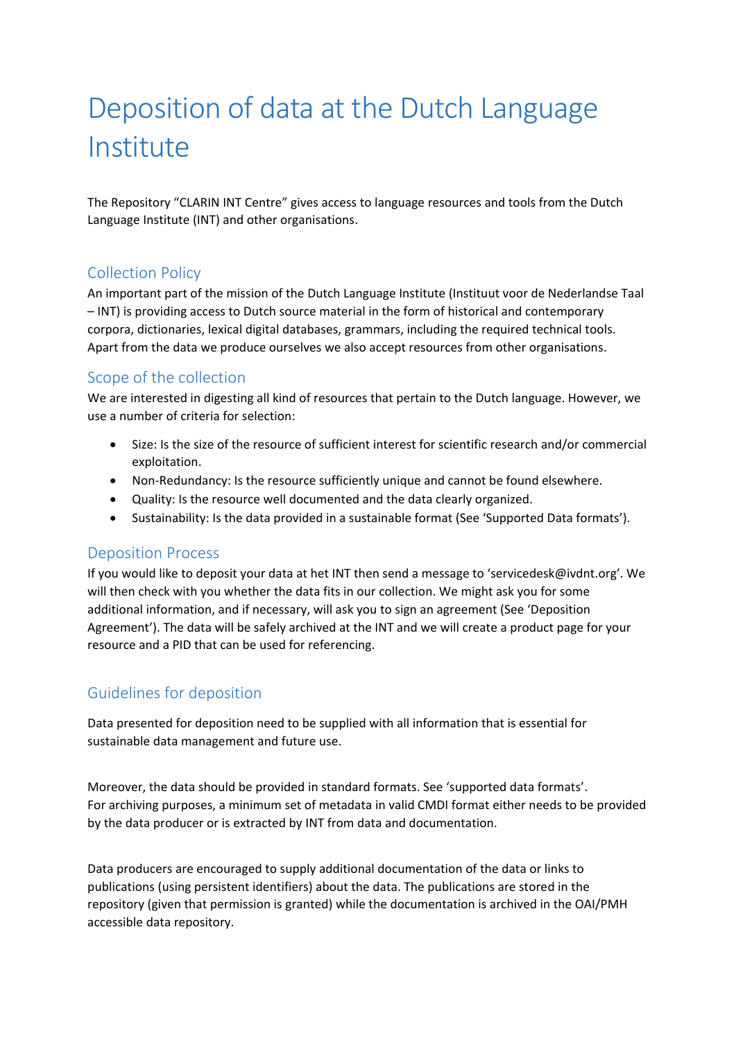# Deposition of data at the Dutch Language Institute

The Repository "CLARIN INT Centre" gives access to language resources and tools from the Dutch Language Institute (INT) and other organisations.

# Collection Policy

An important part of the mission of the Dutch Language Institute (Instituut voor de Nederlandse Taal – INT) is providing access to Dutch source material in the form of historical and contemporary corpora, dictionaries, lexical digital databases, grammars, including the required technical tools. Apart from the data we produce ourselves we also accept resources from other organisations.

# Scope of the collection

We are interested in digesting all kind of resources that pertain to the Dutch language. However, we use a number of criteria for selection:

- Size: Is the size of the resource of sufficient interest for scientific research and/or commercial exploitation.
- Non-Redundancy: Is the resource sufficiently unique and cannot be found elsewhere.
- Quality: Is the resource well documented and the data clearly organized.
- Sustainability: Is the data provided in a sustainable format (See 'Supported Data formats').

#### Deposition Process

If you would like to deposit your data at het INT then send a message to 'servicedesk@ivdnt.org'. We will then check with you whether the data fits in our collection. We might ask you for some additional information, and if necessary, will ask you to sign an agreement (See 'Deposition Agreement'). The data will be safely archived at the INT and we will create a product page for your resource and a PID that can be used for referencing.

# Guidelines for deposition

Data presented for deposition need to be supplied with all information that is essential for sustainable data management and future use.

Moreover, the data should be provided in standard formats. See 'supported data formats'. For archiving purposes, a minimum set of metadata in valid CMDI format either needs to be provided by the data producer or is extracted by INT from data and documentation.

Data producers are encouraged to supply additional documentation of the data or links to publications (using persistent identifiers) about the data. The publications are stored in the repository (given that permission is granted) while the documentation is archived in the OAI/PMH accessible data repository.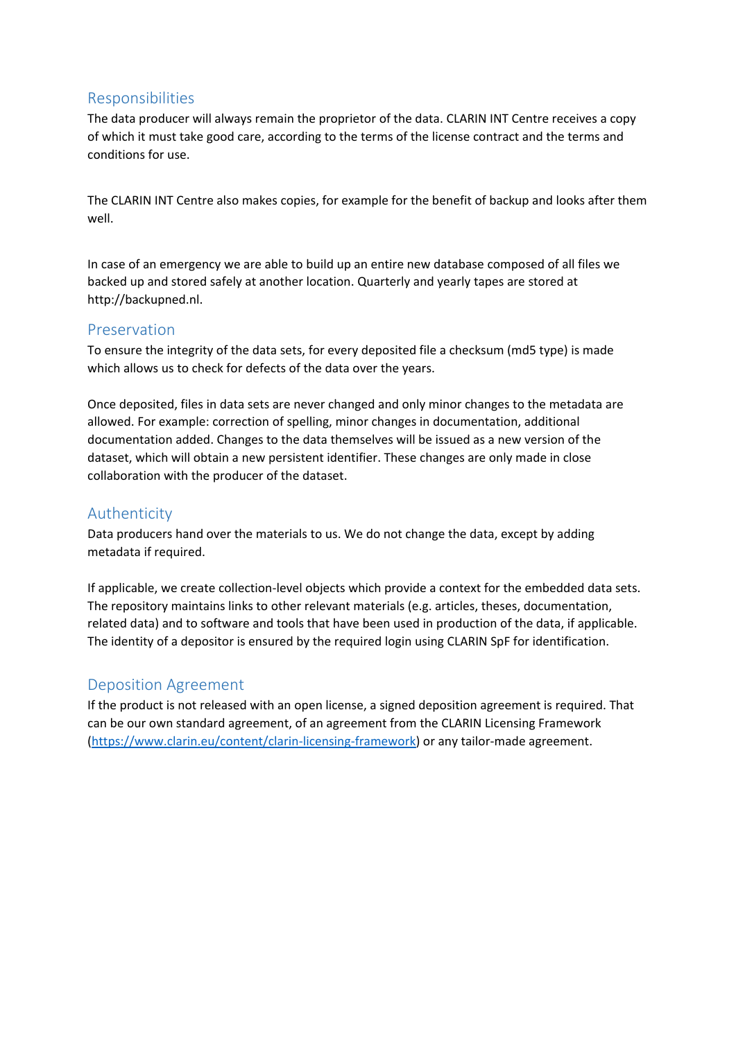#### Responsibilities

The data producer will always remain the proprietor of the data. CLARIN INT Centre receives a copy of which it must take good care, according to the terms of the license contract and the terms and conditions for use.

The CLARIN INT Centre also makes copies, for example for the benefit of backup and looks after them well.

In case of an emergency we are able to build up an entire new database composed of all files we backed up and stored safely at another location. Quarterly and yearly tapes are stored at http://backupned.nl.

#### Preservation

To ensure the integrity of the data sets, for every deposited file a checksum (md5 type) is made which allows us to check for defects of the data over the years.

Once deposited, files in data sets are never changed and only minor changes to the metadata are allowed. For example: correction of spelling, minor changes in documentation, additional documentation added. Changes to the data themselves will be issued as a new version of the dataset, which will obtain a new persistent identifier. These changes are only made in close collaboration with the producer of the dataset.

# Authenticity

Data producers hand over the materials to us. We do not change the data, except by adding metadata if required.

If applicable, we create collection-level objects which provide a context for the embedded data sets. The repository maintains links to other relevant materials (e.g. articles, theses, documentation, related data) and to software and tools that have been used in production of the data, if applicable. The identity of a depositor is ensured by the required login using CLARIN SpF for identification.

#### Deposition Agreement

If the product is not released with an open license, a signed deposition agreement is required. That can be our own standard agreement, of an agreement from the CLARIN Licensing Framework [\(https://www.clarin.eu/content/clarin-licensing-framework\)](https://www.clarin.eu/content/clarin-licensing-framework) or any tailor-made agreement.